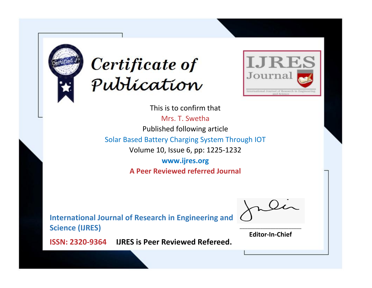



This is to confirm that

Mrs. T. Swetha Published following article

Solar Based Battery Charging System Through IOT

Volume 10, Issue 6, pp: 1225-1232

**www.ijres.org A Peer Reviewed referred Journal**

**International Journal of Research in Engineering and Science (IJRES)**

\_\_\_\_\_\_\_\_\_\_\_\_\_\_\_\_\_\_\_\_\_\_\_\_ **Editor-In-Chief**

**Journal.**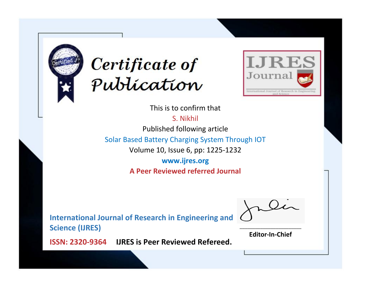



This is to confirm that

S. Nikhil

Published following article

Solar Based Battery Charging System Through IOT

Volume 10, Issue 6, pp: 1225-1232

**www.ijres.org A Peer Reviewed referred Journal**

**International Journal of Research in Engineering and Science (IJRES)**

\_\_\_\_\_\_\_\_\_\_\_\_\_\_\_\_\_\_\_\_\_\_\_\_ **Editor-In-Chief**

**Journal.**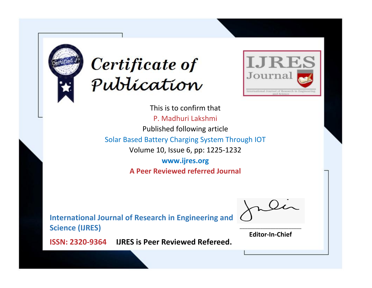



This is to confirm that P. Madhuri Lakshmi Published following article Solar Based Battery Charging System Through IOT Volume 10, Issue 6, pp: 1225-1232 **www.ijres.org A Peer Reviewed referred Journal**

**International Journal of Research in Engineering and Science (IJRES)**

\_\_\_\_\_\_\_\_\_\_\_\_\_\_\_\_\_\_\_\_\_\_\_\_ **Editor-In-Chief**

**Journal.**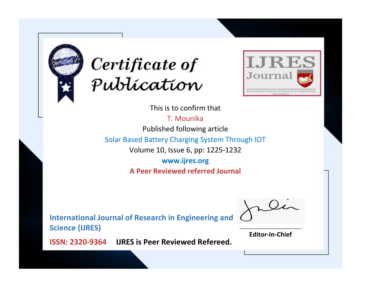



This is to confirm that

T. Mounika

Published following article

Solar Based Battery Charging System Through IOT

Volume 10, Issue 6, pp: 1225-1232

**www.ijres.org A Peer Reviewed referred Journal**

**International Journal of Research in Engineering and Science (IJRES)**

\_\_\_\_\_\_\_\_\_\_\_\_\_\_\_\_\_\_\_\_\_\_\_\_ **Editor-In-Chief**

**Journal.**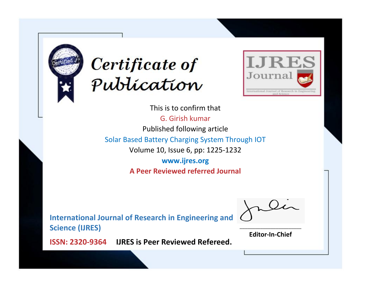



This is to confirm that G. Girish kumar Published following article Solar Based Battery Charging System Through IOT Volume 10, Issue 6, pp: 1225-1232 **www.ijres.org A Peer Reviewed referred Journal**

**International Journal of Research in Engineering and Science (IJRES)**

\_\_\_\_\_\_\_\_\_\_\_\_\_\_\_\_\_\_\_\_\_\_\_\_ **Editor-In-Chief**

**Journal.**